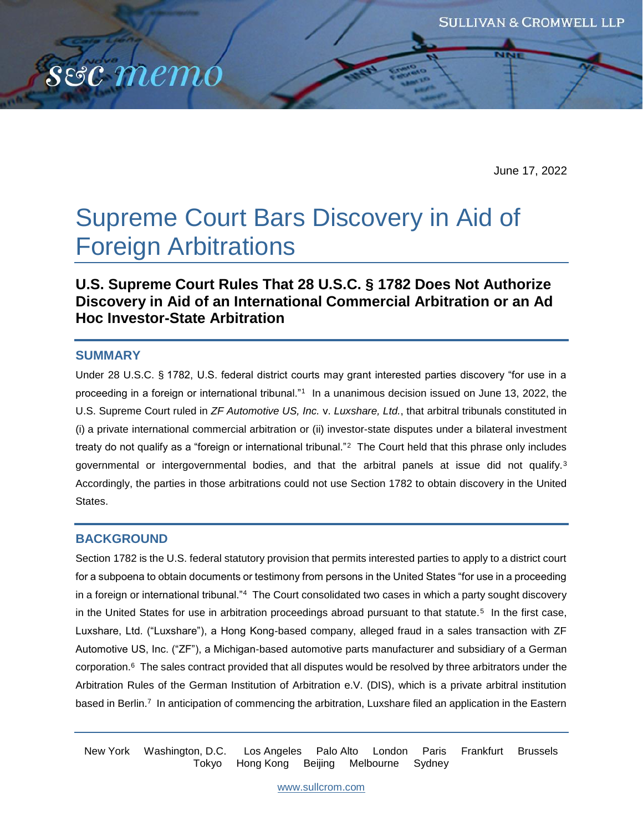June 17, 2022

# Supreme Court Bars Discovery in Aid of Foreign Arbitrations

# **U.S. Supreme Court Rules That 28 U.S.C. § 1782 Does Not Authorize Discovery in Aid of an International Commercial Arbitration or an Ad Hoc Investor-State Arbitration**

#### **SUMMARY**

sec memo

Under 28 U.S.C. § 1782, U.S. federal district courts may grant interested parties discovery "for use in a proceeding in a foreign or international tribunal."<sup>1</sup> In a unanimous decision issued on June 13, 2022, the U.S. Supreme Court ruled in *ZF Automotive US, Inc.* v. *Luxshare, Ltd.*, that arbitral tribunals constituted in (i) a private international commercial arbitration or (ii) investor-state disputes under a bilateral investment treaty do not qualify as a "foreign or international tribunal."<sup>2</sup> The Court held that this phrase only includes governmental or intergovernmental bodies, and that the arbitral panels at issue did not qualify.<sup>3</sup> Accordingly, the parties in those arbitrations could not use Section 1782 to obtain discovery in the United States.

## **BACKGROUND**

Section 1782 is the U.S. federal statutory provision that permits interested parties to apply to a district court for a subpoena to obtain documents or testimony from persons in the United States "for use in a proceeding in a foreign or international tribunal."<sup>4</sup> The Court consolidated two cases in which a party sought discovery in the United States for use in arbitration proceedings abroad pursuant to that statute.<sup>5</sup> In the first case, Luxshare, Ltd. ("Luxshare"), a Hong Kong-based company, alleged fraud in a sales transaction with ZF Automotive US, Inc. ("ZF"), a Michigan-based automotive parts manufacturer and subsidiary of a German corporation.<sup>6</sup> The sales contract provided that all disputes would be resolved by three arbitrators under the Arbitration Rules of the German Institution of Arbitration e.V. (DIS), which is a private arbitral institution based in Berlin.<sup>7</sup> In anticipation of commencing the arbitration, Luxshare filed an application in the Eastern

New York Washington, D.C. Los Angeles Palo Alto London Paris Frankfurt Brussels Tokyo Hong Kong Beijing Melbourne Sydney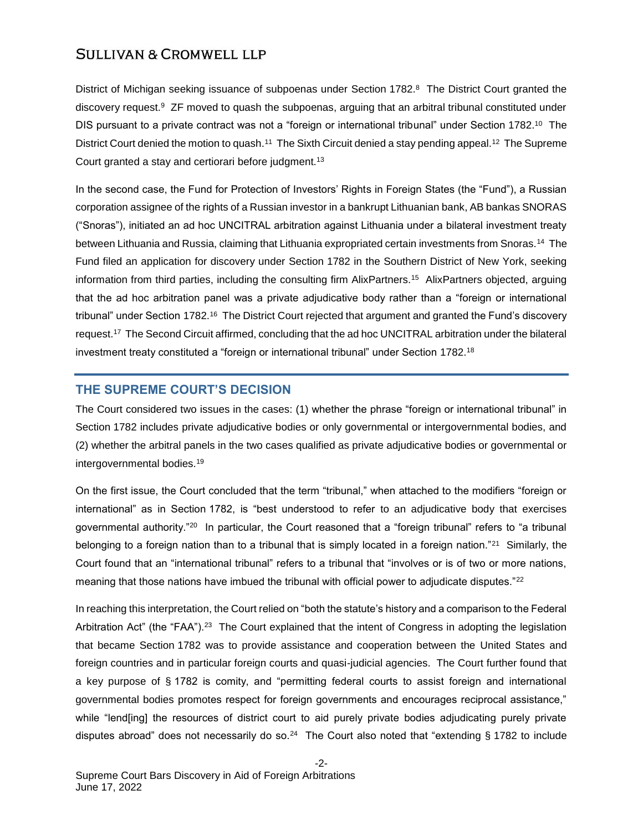District of Michigan seeking issuance of subpoenas under Section 1782.<sup>8</sup> The District Court granted the discovery request.<sup>9</sup> ZF moved to quash the subpoenas, arguing that an arbitral tribunal constituted under DIS pursuant to a private contract was not a "foreign or international tribunal" under Section 1782.<sup>10</sup> The District Court denied the motion to quash.<sup>11</sup> The Sixth Circuit denied a stay pending appeal.<sup>12</sup> The Supreme Court granted a stay and certiorari before judgment.<sup>13</sup>

In the second case, the Fund for Protection of Investors' Rights in Foreign States (the "Fund"), a Russian corporation assignee of the rights of a Russian investor in a bankrupt Lithuanian bank, AB bankas SNORAS ("Snoras"), initiated an ad hoc UNCITRAL arbitration against Lithuania under a bilateral investment treaty between Lithuania and Russia, claiming that Lithuania expropriated certain investments from Snoras.<sup>14</sup> The Fund filed an application for discovery under Section 1782 in the Southern District of New York, seeking information from third parties, including the consulting firm AlixPartners.<sup>15</sup> AlixPartners objected, arguing that the ad hoc arbitration panel was a private adjudicative body rather than a "foreign or international tribunal" under Section 1782.<sup>16</sup> The District Court rejected that argument and granted the Fund's discovery request.<sup>17</sup> The Second Circuit affirmed, concluding that the ad hoc UNCITRAL arbitration under the bilateral investment treaty constituted a "foreign or international tribunal" under Section 1782.<sup>18</sup>

## **THE SUPREME COURT'S DECISION**

The Court considered two issues in the cases: (1) whether the phrase "foreign or international tribunal" in Section 1782 includes private adjudicative bodies or only governmental or intergovernmental bodies, and (2) whether the arbitral panels in the two cases qualified as private adjudicative bodies or governmental or intergovernmental bodies.<sup>19</sup>

On the first issue, the Court concluded that the term "tribunal," when attached to the modifiers "foreign or international" as in Section 1782, is "best understood to refer to an adjudicative body that exercises governmental authority."<sup>20</sup> In particular, the Court reasoned that a "foreign tribunal" refers to "a tribunal belonging to a foreign nation than to a tribunal that is simply located in a foreign nation."<sup>21</sup> Similarly, the Court found that an "international tribunal" refers to a tribunal that "involves or is of two or more nations, meaning that those nations have imbued the tribunal with official power to adjudicate disputes."<sup>22</sup>

In reaching this interpretation, the Court relied on "both the statute's history and a comparison to the Federal Arbitration Act" (the "FAA").<sup>23</sup> The Court explained that the intent of Congress in adopting the legislation that became Section 1782 was to provide assistance and cooperation between the United States and foreign countries and in particular foreign courts and quasi-judicial agencies. The Court further found that a key purpose of § 1782 is comity, and "permitting federal courts to assist foreign and international governmental bodies promotes respect for foreign governments and encourages reciprocal assistance," while "lend[ing] the resources of district court to aid purely private bodies adjudicating purely private disputes abroad" does not necessarily do so.<sup>24</sup> The Court also noted that "extending § 1782 to include

-2-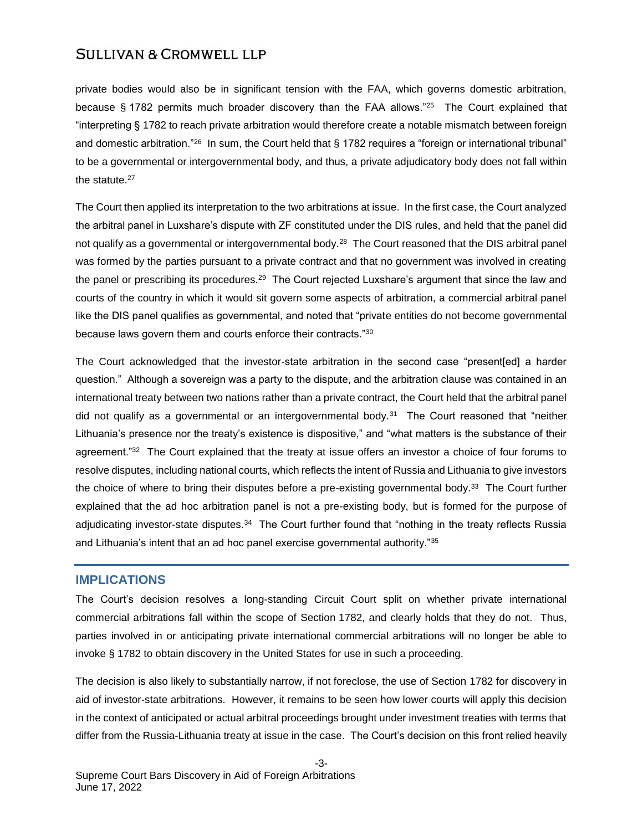private bodies would also be in significant tension with the FAA, which governs domestic arbitration, because § 1782 permits much broader discovery than the FAA allows."<sup>25</sup> The Court explained that "interpreting § 1782 to reach private arbitration would therefore create a notable mismatch between foreign and domestic arbitration." $^{26}$  In sum, the Court held that § 1782 requires a "foreign or international tribunal" to be a governmental or intergovernmental body, and thus, a private adjudicatory body does not fall within the statute.<sup>27</sup>

The Court then applied its interpretation to the two arbitrations at issue. In the first case, the Court analyzed the arbitral panel in Luxshare's dispute with ZF constituted under the DIS rules, and held that the panel did not qualify as a governmental or intergovernmental body.<sup>28</sup> The Court reasoned that the DIS arbitral panel was formed by the parties pursuant to a private contract and that no government was involved in creating the panel or prescribing its procedures.<sup>29</sup> The Court rejected Luxshare's argument that since the law and courts of the country in which it would sit govern some aspects of arbitration, a commercial arbitral panel like the DIS panel qualifies as governmental, and noted that "private entities do not become governmental because laws govern them and courts enforce their contracts."<sup>30</sup>

The Court acknowledged that the investor-state arbitration in the second case "present[ed] a harder question." Although a sovereign was a party to the dispute, and the arbitration clause was contained in an international treaty between two nations rather than a private contract, the Court held that the arbitral panel did not qualify as a governmental or an intergovernmental body.<sup>31</sup> The Court reasoned that "neither Lithuania's presence nor the treaty's existence is dispositive," and "what matters is the substance of their agreement."<sup>32</sup> The Court explained that the treaty at issue offers an investor a choice of four forums to resolve disputes, including national courts, which reflects the intent of Russia and Lithuania to give investors the choice of where to bring their disputes before a pre-existing governmental body.<sup>33</sup> The Court further explained that the ad hoc arbitration panel is not a pre-existing body, but is formed for the purpose of adjudicating investor-state disputes.<sup>34</sup> The Court further found that "nothing in the treaty reflects Russia and Lithuania's intent that an ad hoc panel exercise governmental authority."<sup>35</sup>

#### **IMPLICATIONS**

The Court's decision resolves a long-standing Circuit Court split on whether private international commercial arbitrations fall within the scope of Section 1782, and clearly holds that they do not. Thus, parties involved in or anticipating private international commercial arbitrations will no longer be able to invoke § 1782 to obtain discovery in the United States for use in such a proceeding.

The decision is also likely to substantially narrow, if not foreclose, the use of Section 1782 for discovery in aid of investor-state arbitrations. However, it remains to be seen how lower courts will apply this decision in the context of anticipated or actual arbitral proceedings brought under investment treaties with terms that differ from the Russia-Lithuania treaty at issue in the case. The Court's decision on this front relied heavily

-3-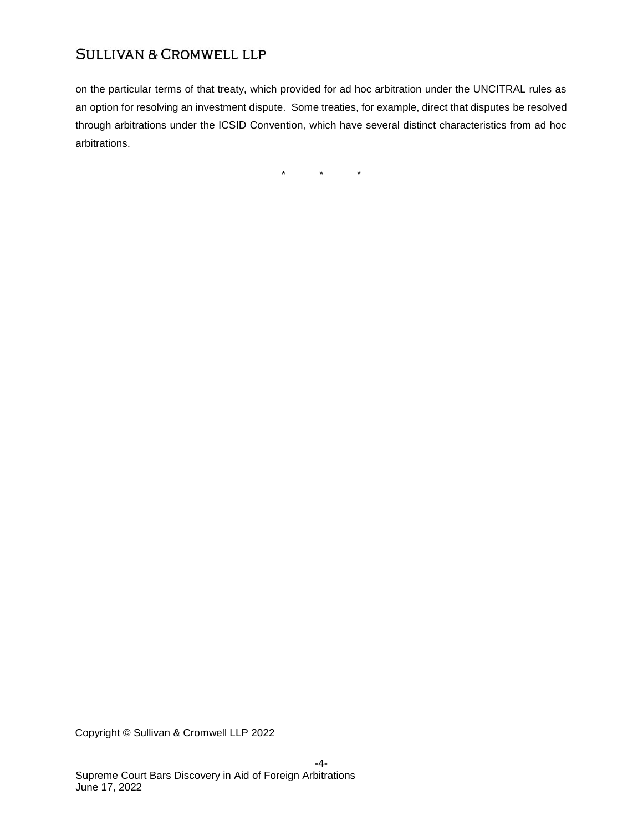on the particular terms of that treaty, which provided for ad hoc arbitration under the UNCITRAL rules as an option for resolving an investment dispute. Some treaties, for example, direct that disputes be resolved through arbitrations under the ICSID Convention, which have several distinct characteristics from ad hoc arbitrations.

 $\star$   $\star$   $\star$ 

Copyright © Sullivan & Cromwell LLP 2022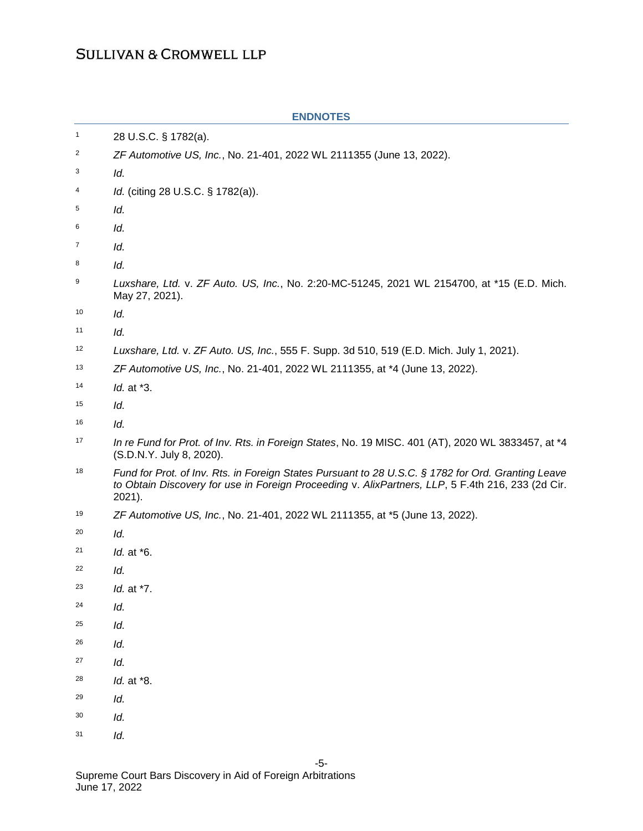| $\mathbf{1}$ | 28 U.S.C. § 1782(a).                                                                                                                                                                                              |
|--------------|-------------------------------------------------------------------------------------------------------------------------------------------------------------------------------------------------------------------|
| 2            | ZF Automotive US, Inc., No. 21-401, 2022 WL 2111355 (June 13, 2022).                                                                                                                                              |
| 3            | ld.                                                                                                                                                                                                               |
| 4            | Id. (citing 28 U.S.C. § 1782(a)).                                                                                                                                                                                 |
| 5            | Id.                                                                                                                                                                                                               |
| 6            | Id.                                                                                                                                                                                                               |
| 7            | ld.                                                                                                                                                                                                               |
| 8            | Id.                                                                                                                                                                                                               |
| 9            | Luxshare, Ltd. v. ZF Auto. US, Inc., No. 2:20-MC-51245, 2021 WL 2154700, at *15 (E.D. Mich.<br>May 27, 2021).                                                                                                     |
| 10           | Id.                                                                                                                                                                                                               |
| 11           | Id.                                                                                                                                                                                                               |
| 12           | Luxshare, Ltd. v. ZF Auto. US, Inc., 555 F. Supp. 3d 510, 519 (E.D. Mich. July 1, 2021).                                                                                                                          |
| 13           | ZF Automotive US, Inc., No. 21-401, 2022 WL 2111355, at *4 (June 13, 2022).                                                                                                                                       |
| 14           | <i>ld.</i> at *3.                                                                                                                                                                                                 |
| 15           | ld.                                                                                                                                                                                                               |
| 16           | ld.                                                                                                                                                                                                               |
| 17           | In re Fund for Prot. of Inv. Rts. in Foreign States, No. 19 MISC. 401 (AT), 2020 WL 3833457, at *4<br>(S.D.N.Y. July 8, 2020).                                                                                    |
| 18           | Fund for Prot. of Inv. Rts. in Foreign States Pursuant to 28 U.S.C. § 1782 for Ord. Granting Leave<br>to Obtain Discovery for use in Foreign Proceeding v. AlixPartners, LLP, 5 F.4th 216, 233 (2d Cir.<br>2021). |
| 19           | ZF Automotive US, Inc., No. 21-401, 2022 WL 2111355, at *5 (June 13, 2022).                                                                                                                                       |
| 20           | Id.                                                                                                                                                                                                               |
| 21           | Id. at *6.                                                                                                                                                                                                        |
| 22           | ld.                                                                                                                                                                                                               |
| 23           | <i>ld.</i> at *7.                                                                                                                                                                                                 |
| 24           | Id.                                                                                                                                                                                                               |
| 25           | Id.                                                                                                                                                                                                               |
| 26           | Id.                                                                                                                                                                                                               |
| 27           | Id.                                                                                                                                                                                                               |
| 28           | Id. at *8.                                                                                                                                                                                                        |
| 29           | Id.                                                                                                                                                                                                               |
| 30           | Id.                                                                                                                                                                                                               |
| 31           | ld.                                                                                                                                                                                                               |

#### **ENDNOTES**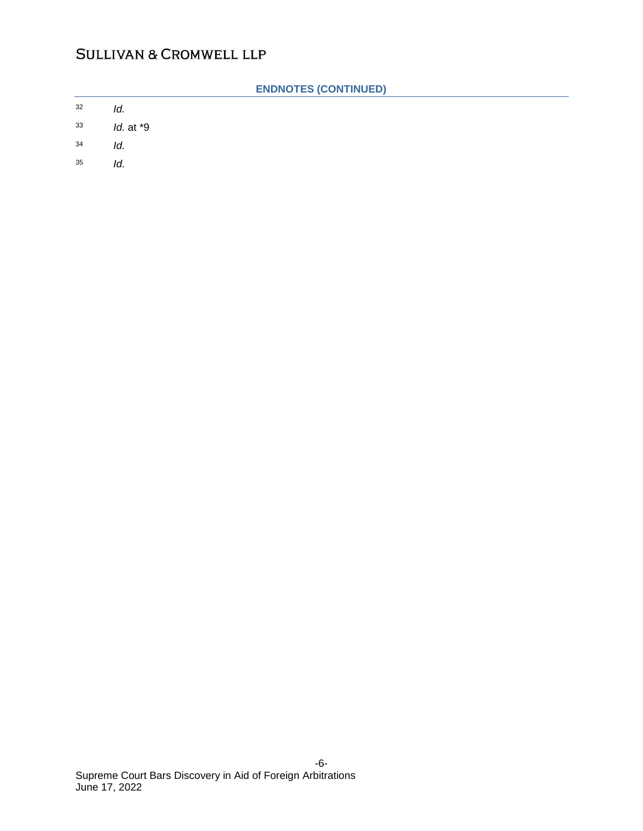|    | <b>ENDNOTES (CONTINUED)</b> |
|----|-----------------------------|
| 32 | ld.                         |
| 33 | $Id.$ at $*9$               |
| 34 | Id.                         |
| 35 | ld.                         |